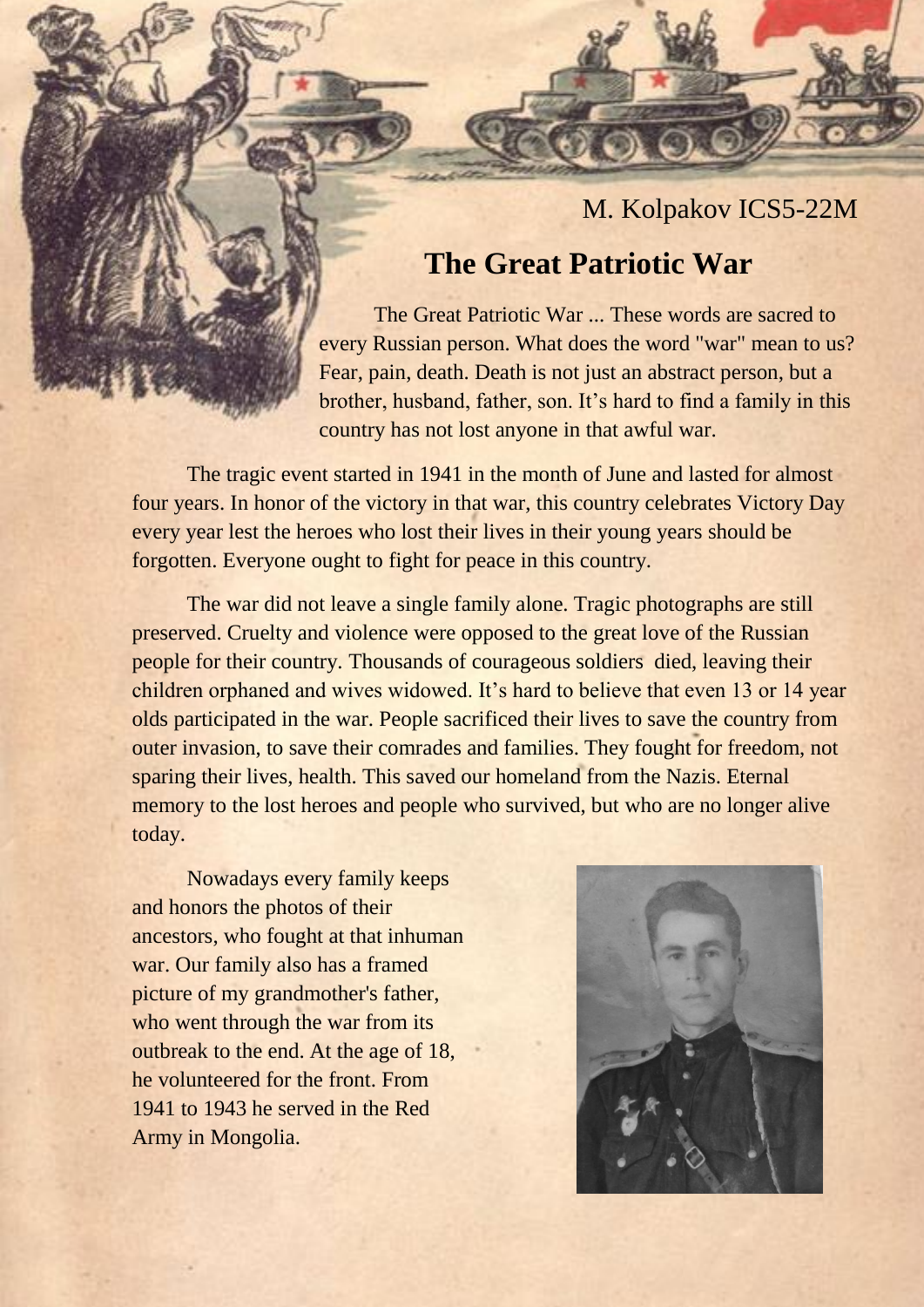M. Kolpakov ICS5-22M

## **The Great Patriotic War**

The Great Patriotic War ... These words are sacred to every Russian person. What does the word "war" mean to us? Fear, pain, death. Death is not just an abstract person, but a brother, husband, father, son. It's hard to find a family in this country has not lost anyone in that awful war.

The tragic event started in 1941 in the month of June and lasted for almost four years. In honor of the victory in that war, this country celebrates Victory Day every year lest the heroes who lost their lives in their young years should be forgotten. Everyone ought to fight for peace in this country.

The war did not leave a single family alone. Tragic photographs are still preserved. Cruelty and violence were opposed to the great love of the Russian people for their country. Thousands of courageous soldiers died, leaving their children orphaned and wives widowed. It's hard to believe that even 13 or 14 year olds participated in the war. People sacrificed their lives to save the country from outer invasion, to save their comrades and families. They fought for freedom, not sparing their lives, health. This saved our homeland from the Nazis. Eternal memory to the lost heroes and people who survived, but who are no longer alive today.

Nowadays every family keeps and honors the photos of their ancestors, who fought at that inhuman war. Our family also has a framed picture of my grandmother's father, who went through the war from its outbreak to the end. At the age of 18, he volunteered for the front. From 1941 to 1943 he served in the Red Army in Mongolia.